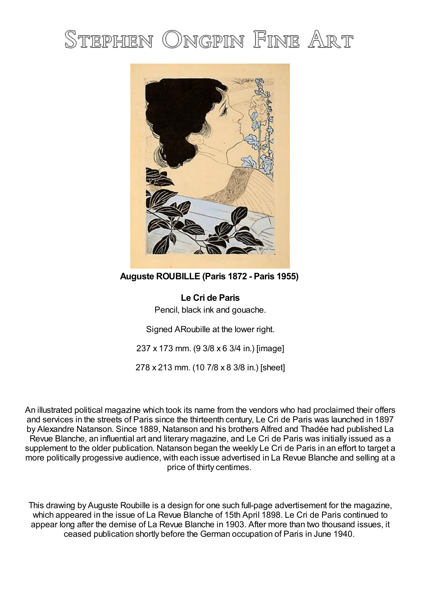## STEPHEN ONGPIN FINE ART



**Auguste ROUBILLE (Paris 1872 - Paris 1955)**

**Le Cri de Paris** Pencil, black ink and gouache.

Signed ARoubille at the lower right.

237 x 173 mm. (9 3/8 x 6 3/4 in.) [image]

278 x 213 mm. (10 7/8 x 8 3/8 in.) [sheet]

An illustrated political magazine which took its name from the vendors who had proclaimed their offers and services in the streets of Paris since the thirteenth century, Le Cri de Paris was launched in 1897 by Alexandre Natanson. Since 1889, Natanson and his brothers Alfred and Thadée had published La Revue Blanche, an influential art and literary magazine, and Le Cri de Paris was initially issued as a supplement to the older publication. Natanson began the weekly Le Cri de Paris in an effort to target a more politically progessive audience, with each issue advertised in La Revue Blanche and selling at a price of thirty centimes.

This drawing by Auguste Roubille is a design for one such full-page advertisement for the magazine, which appeared in the issue of La Revue Blanche of 15th April 1898. Le Cri de Paris continued to appear long after the demise of La Revue Blanche in 1903. After more than two thousand issues, it ceased publication shortly before the German occupation of Paris in June 1940.